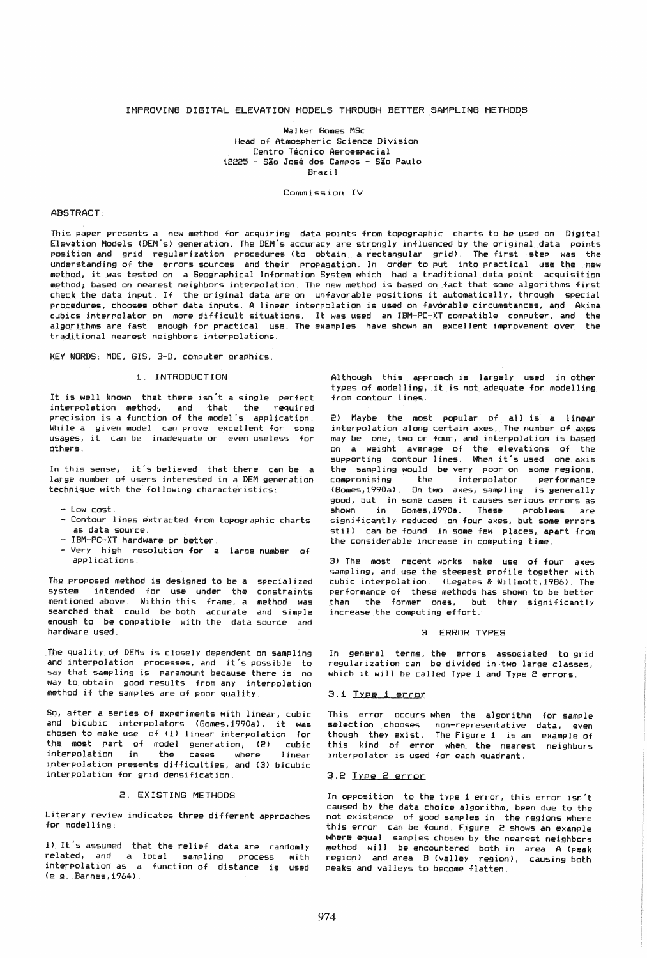## IMPROVING DIGITAL ELEVATION MODELS THROUGH BETTER SAMPLING METHODS

Walker Gomes MSc Head of Atmospheric Science Division Centro Técnico Aeroespacial 12225 - Sao Jose dos Campos - Sao Paulo Brazil

Commission IV

#### ABSTRACT:

This paper presents a new method for acquiring data points from topographic charts to be used on Digital Elevation Models (OEM's) generation. The OEM's accuracy are strongly influenced by the original data points position and grid regularization procedures (to obtain a rectangular grid). The first step was the understanding of the errors sources and their propagation. In order to put into practical use the new method, it was tested on a Geographical Information System which had a traditional data point acquisition method; based on nearest neighbors interpolation. The new method is based on fact that some algorithms first check the data input. If the original data are on unfavorable positions it automatically, through special procedures, chooses other data inputs. A linear interpolation is used on favorable circumstances, and Akima cubics interpolator on more difficult situations. It was used an IBM-PC-XT compatible computer. and the algorithms are fast enough for practical use. The examples have shown an excellent improvement over the traditional nearest neighbors interpolations.

KEYWORDS: MOE, GIS, 3-D, computer graphics.

#### 1. INTRODUCTION

It is well known that there isn't a single perfect interpolation method, and that the required precision is a function of the model's application. While a given model can prove excellent for some usages, it can be inadequate or even useless for others.

In this sense, it's believed that there can be a large number of users interested in a OEM generation technique with the following characteristics:

- Low cost.
- Contour lines extracted from topographic charts as data source.
- IBM-PC-XT hardware or better.
- Very high resolution for a large number of applications.

The proposed method is designed to be a specialized system intended for use under the constraints mentioned above. Within this frame, a method was searched that could be both accurate and simple enough to be compatible with the data source and hardware used.

The quality of OEMs is closely dependent on sampling and interpolation processes, and it's possible to say that sampling is paramount because there is no way to obtain good results from any interpolation method if the samples are of poor quality.

So, after a series of experiments with linear, cubic and bicubic interpolators (Gomes,i990a), it was chosen to make use of (1) linear interpolation for the most part of model generation, (2) cubic<br>interpolation in the cases where linear interpolation in the cases where linear interpolation presents difficulties, and (3) bicubic interpolation for grid densification.

## 2. EXISTING METHODS

Literary review indicates three different approaches for modelling:

i) It's assumed that the relief data are randomly related, and a local sampling process with interpolation as a function of distance is used (e.g. Barnes,i964).

Although this approach is largely used in other types of modelling, it is not adequate for modelling from contour lines.

2) Maybe the most popular of all is a linear interpolation along certain axes. The number of axes may be one, two or four, and interpolation is based on a weight average of the elevations of the supporting contour lines. When it's used one axis the sampling would be very poor on some regions,<br>compromising the interpolator performance interpolator (Gomes, 1990a) . On two axes, sampling is generally good, but in some cases it causes serious errors as shown in Gomes, 1990a. These problems are significantly reduced on four axes, but some errors still can be found in some few places, apart from the considerable increase in computing time.

3) The most recent works make use of four axes sampling, and use the steepest profile together with cubic interpolation. (Legates & Willmott,1986). The performance of these methods has shown to be better than the former ones, but they significantly increase the computing effort.

## 3. ERROR TYPES

In general terms, the errors associated to grid regularization can be divided in·two large classes, which it will be called Type i and Type 2 errors.

#### 3.1 Trpe 1 error

This error occurs when the algorithm for sample selection chooses non-representative data, even though they exist. The Figure 1 is an example of this kind of error when the nearest neighbors interpolator is used for each quadrant.

# 3.2 Type 2 error

In opposition to the type 1 error, this error isn't caused by the data choice algorithm, been due to the not existence of good samples in the regions where this error can be found. Figure 2 shows an example where equal samples chosen by the nearest neighbors method will be encountered both in area A (peak region) and area B (valley region), causing both peaks and valleys to become flatten.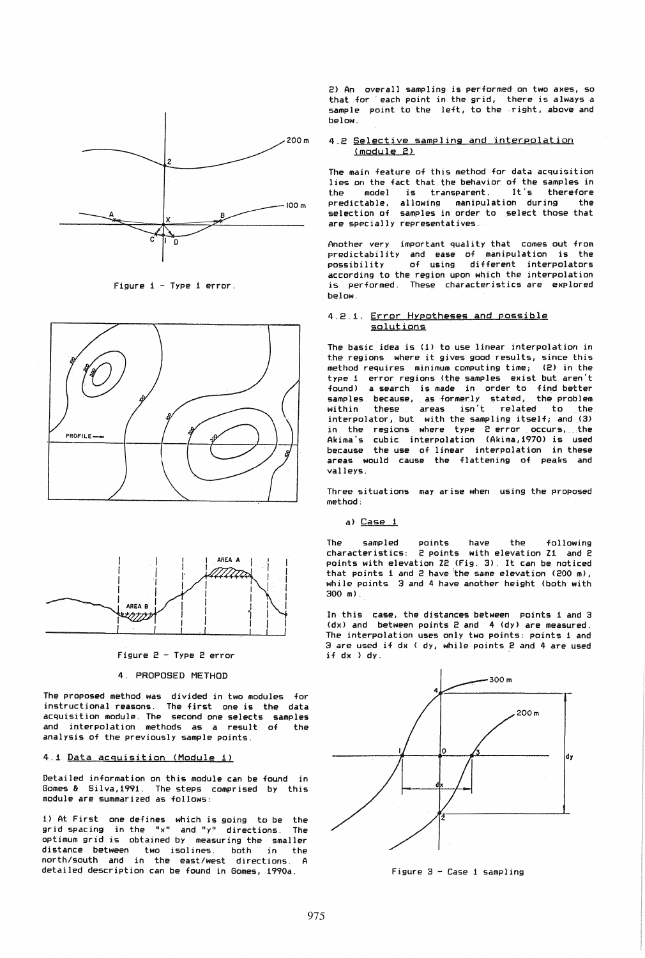

Figure i-Type i error.





Figure 2 - Type 2 error

# 4. PROPOSED METHOD

The proposed method was divided in two modules for instructional reasons. The first one is the data acquisition module. The second one selects samples and interpolation methods as a result of the analysis of the previously sample points.

# 4,1 Data aCquisition (Module 1)

Detailed information on this module can be found in Gomes & Silva,i991. The steps comprised by this module are summarized as follows:

1) At First one defines which is going to be the grid spacing in the "x" and "y" directions. The optimum grid is obtained by measuring the smaller distance between two is011nes. both in the north/south and in the east/west directions. A detailed description can be found in Gomes, 1990a.

2) An overall sampling is performed on two axes, so that for' each point in the grid, there is always a sample point to the left, to the right, above and below.

## 4.2 Selective sampling and interpolation <module 2)

The main feature of this method for data acquisition lies on the fact that the behavior of the samples in<br>the model is transparent, It's therefore the model is transparent. It's therefore predictable, allowing manipulation during the selection of samples in order to select those that are specially representatives.

Another very important quality that comes out from predictability and ease of manipulation is the<br>possibility of using different interpolators of using different interpolators according to the region upon which the interpolation is performed. These characteristics are explored below.

### 4.2.1. Error Hypotheses and possible sglutions

The basic idea is (i) to use linear interpolation in the regions where it gives good results, since this method requires minimum computing time; type i error regions (the samples exist but aren't found) a search is made in order to find better samples because, as formerly stated, the problem<br>within these areas isn't related to the related to the interpolator, but with the sampling itself; and (3) in the regions where type 2 error occurs, the Akima's cubic interpolation (Akima, 1970) is used because the use of linear interpolation in these areas would cause the flattening of peaks and valleys.

Three situations may arise when using the proposed method:

a) Case 1

The sampled points have the following characteristics: 2 points with elevation Zi and 2 points with elevation Z2 (Fig. 3). It can be noticed that points i and 2 have 'the same elevation (200 m), while points 3 and 4 have another height (both with 300 m).

In this case, the distances between points 1 and 3 (dx) and between points 2 and 4 (dy) are measured. The interpolation uses only two points: points 1 and 3 are used if dx ( dy, while points 2 and 4 are used  $if$   $dx$   $\rightarrow$   $dy$ .



Figure 3 - Case 1 sampling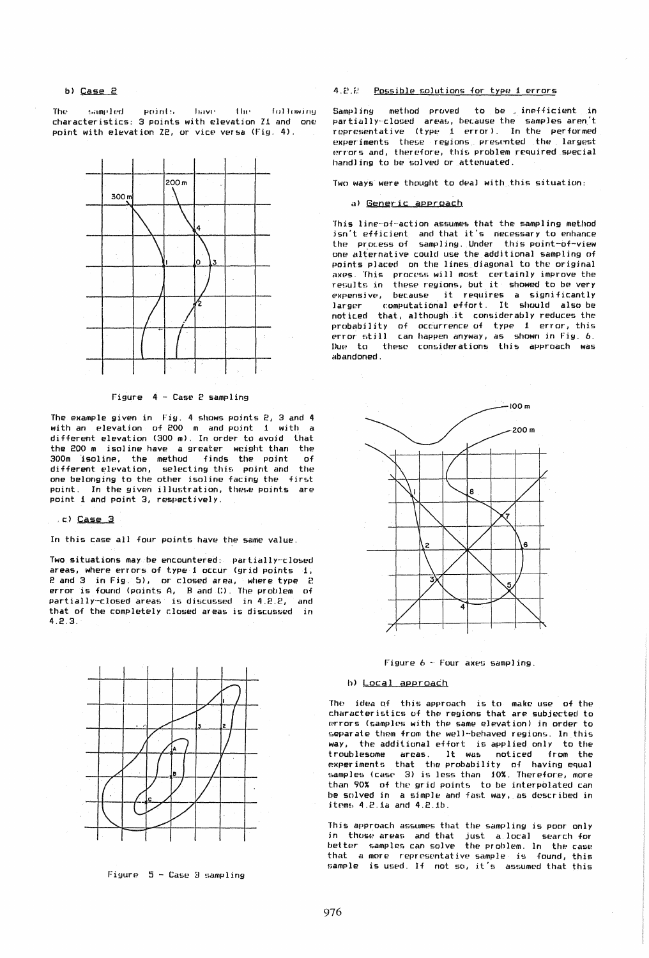#### b) Case 2

The sampled points have the following characteristics: 3 points with elevation Z1 and one point with elevation *l2,* or vice versa (Fig. 4).



Figure 4 - Case 2 sampling

The example given in Fig. 4 shows points 2, 3 and 4 with an elevation of 200 m and point 1 with a different elevation (300 m). In order to avoid that the 200 m isoline have a greater weight than the 300m isoline, the methud finds the point of different elevation, selecting this point and the one belonging to the other isoline facing the first point. In the given illustration, these points are point 1 and point 3, respectively .

. c) Case 3

In this case all four points have the same value.

Two situations may be encountered: partially-closed areas, where errors of type 1 occur (grid points 1, 2 and 3 in Fig. 5), or closed area, where type 2 error is found (points A, B and C). The problem of partially-closed areas is discussed in 4.2.2, and that of the completely closed areas is discussed in 4.2.3.



Figure 5 - Case 3 sampling

# 4.2.2 Possible solutions for type 1 errors

Sampling method proved to be inefficient in partially-closed areas, because the samples aren't representative (type 1 error). In the performed experiments these regions presented the largest errors and, therefore, this problem required special handling to be solved or attenuated.

Two ways were thought to deal with this situation:

### a) Generic approach

This line-of-action assumes that the sampling method isn't efficient and that it's necessary to enhance the process of sampling. Under this point-of-view one alternative could use the additional sampling of points placed on the lines diagonal to the original axes. This process will most certainly improve the results in these regions, but it showed to be very expensive, because it requires a significantly<br>larger computational effort. It should also be noticed that, although it considerably reduces the probability of occurrence of type 1 error, this error still can happen anyway, as shown in Fig. 6. DUR to these considerations this approach was etbandoned.





#### h) Local approach

The idea of this approach is to make use of the characteristics of the reyions that are subjected to errors (samples with the same elevation) in order to &eparate them from the well-behaved regions. In this way, the additional effort is applied only to the<br>troublesome areas. It was noticed from the areas. It was noticed from the experiments that the probability of having equal samples (case 3) is less than 10%. Therefore, more than 90% of the grid points to be interpolated can be solved in a simple and fast way, as described in  $items 4.2.1a and 4.2.1b.$ 

This approach assumes that the sampling is poor only in thuse areas and that just a local search for better samples can solve the problem. In the case that a more representative sample is found, this sample is used. If not so, it's assumed that this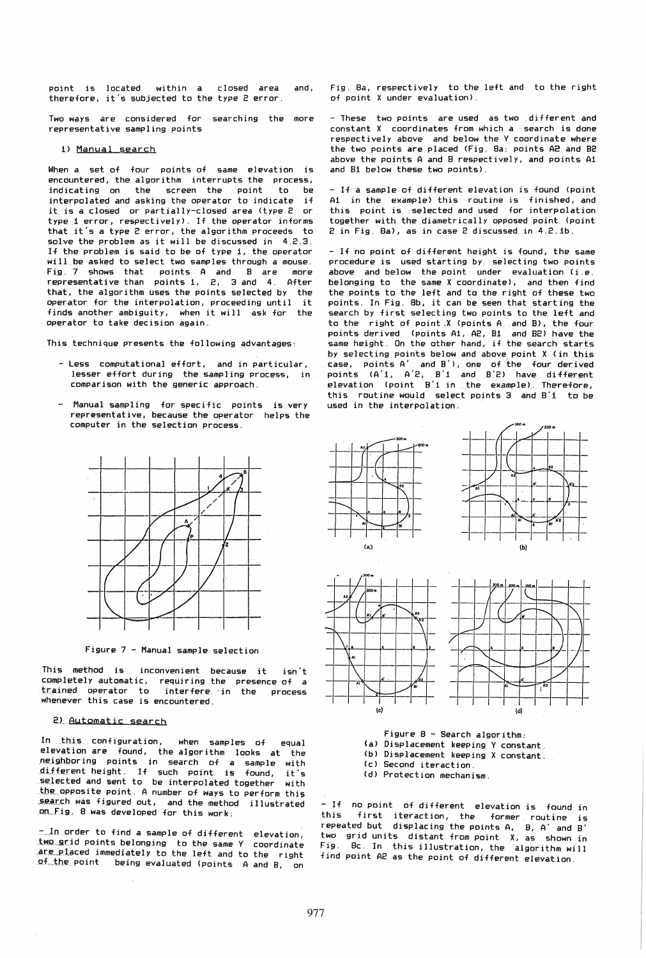point is located within a closed area and, therefore. it's subjected to the type 2 error.

Two ways are considered for searching the more representative sampling points

#### 1) Manual search

When a set of four points of same elevation is encountered, the algorithm interrupts the process,<br>indicating on the screen the point to be indicating on the screen the point interpolated and asking the operator to indicate if it is a closed or partially-closed area (type 2 or type 1 error, respectively). If the operator informs that it's a type 2 error, the algorithm proceeds to solve the problem as it will be discussed in 4.2.3. If the problem is said to be of type 1, the operator will be asked to select two samples through a mouse. Fig. 7 shows that points A and B are more representative than points 1, 2, 3 and 4. After that, the algorithm uses the points selected by the operator for the interpolation, proceeding until it finds another ambiguity, when it will ask for the operator to take decision again.

This technique presents the following advantages:

- Less computational effort, and in particular, lesser effort during the sampling process, in comparison with the generic approach.
- Manual sampling for specific points is very representative, because the operator helps the computer in the selection process.



Figure 7 - Manual sample selection

This method is inconvenient because it isn't completely automatic, requiring the presence of a trained operator to interfere in the process whenever this case is encountered.

## 2) Automatic search

In this configuration, when samples of equal elevation are found, the algorithm looks at the neighboring points in search of a sample with different height. If such point is found, it's selected and sent to be interpolated together with the opposite point. A number of ways to perform this search was figured out, and the method illustrated on Fig. 8 was developed for this work:

-in order to find a sample of different elevation, two grid points belonging to the same Y coordinate are placed immediately to the left and to the right of the point being evaluated (points A and B, on Fig. Sa, respectively to the left and to the right of point X under evaluation).

- These two points are used as two different and constant X coordinates from which a search is done respectively above and below the Y coordinate where the two points are placed (Fig. Sa: points A2 and B2 above the points A and B respectively, and points A1 and B1 below these two points).

- If a sample of different elevation is found (point Ai in the example) this routine is finished, and this point is selected and used for interpolation together with the diametrically opposed point (point 2 in Fig. Sa), as in case 2 discussed in 4.2.1b.

- If no point of different height is found, the same procedure is used starting by selecting two points above and below the point under evaluation (i.e. belonging to the same X coordinate), and then find the points to the left and to the right of these two points. In Fig. Sb, it can be seen that starting the search by first selecting two points to the left and to the right of point.X (points A and B), the four points derived (points AI, A2, Bl and B2) have the same height. On the other hand, if the search starts by selecting points below and above point X (in this case, points A' and B'), one of the four derived points (A'i, A'2, B'1 and B'2) have different elevation (point B'1 in the example,. Therefore, this routine would select points 3 and B'1 to be used in the interpolation.



 $-$  If no point of different elevation is found in this first iteraction, the former routing is first iteraction, the former routine is repeated but displacing the points A. B, A' and B' two grid units distant from point X, as shown in Fig. Bc. In this illustration, the algorithm will  $find$  point A2 as the point of different elevation.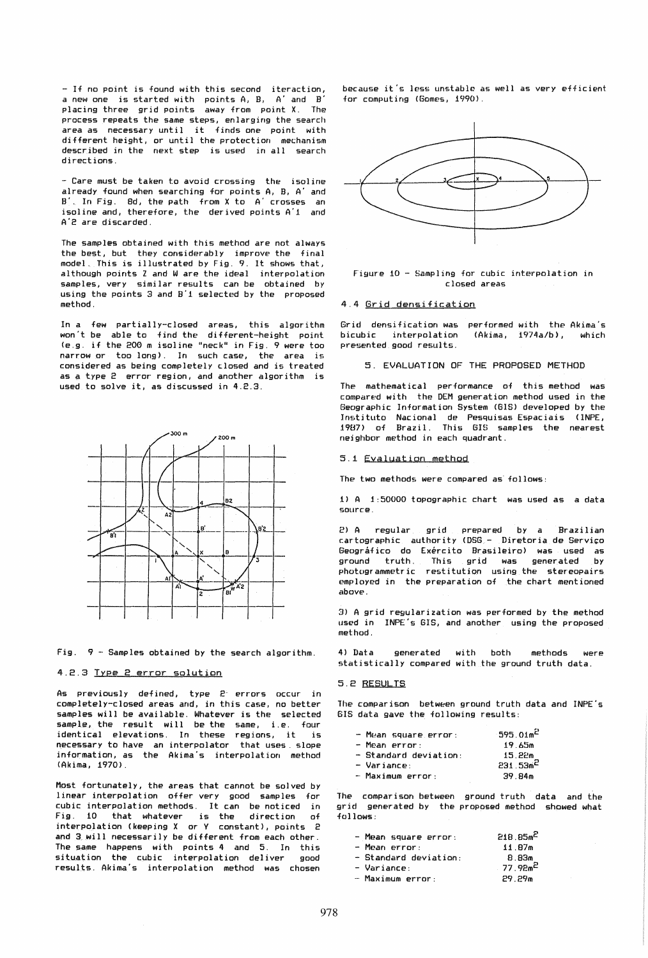- If no point is found with this second iteraction, a new one is started with points A, B, A' and B' placing three grid points away from point X. The process repeats the same steps, enlarging the search area as necessary until it finds one point with different height, or until the protection mechanism described in the next step is used in all search directions.

- Care must be taken to avoid crossing the isoline already found when searching for points A, B, A' and S'. In Fig. 8d, the path from X to A' crosses an 1s01ine and, therefore, the derived points A'l and A'2 are discarded.

The samples obtained with this method are not always the best, but they considerably improve the final model. This is illustrated by Fig. 9. It shows that, although points Z and Ware the ideal interpolation samples, very similar results can be obtained by using the points 3 and B'l selected by the proposed method.

In a few partially-closed areas, this algorithm won't be able to find the different-height point (e.g. if the 200 m isoline "neck" in Fig. 9 were too narrow or too long). In such case, the area is considered as being completely closed and is treated as a type 2 error region, and another algorithm is used to solve it, as discussed in 4.2.3.



Fig. 9 - Samples obtained *by* the search algorithm.

## 4.2.3 Type 2 error solution

As previously defined, type 2' errors occur in completely-closed areas and, in this case, no better samples will be available. Whatever is the selected sample, the result will be the same, i.e. four identical elevations. In these regions, it is necessary to have an interpolator that uses. slope information, as the Akima's interpolation method (Akima, 1970).

Most fortunately, the areas that cannot be solved *by*  linear interpolation offer very good samples for cubic interpolation methods. It can be noticed in Fig. 10 that whatever is the direction of interpolation (keeping X or Y constant), points 2 and 3 will necessarily be different from each other. The same happens with points 4 and 5. In this situation the cubic interpolation deliver good results. Akima's interpolation method was chosen

because it's less unstable as well as very efficient for computing (Gomes, 1990).



#### Figure 10 - Sampling for cubic interpolation in closed areas

### 4.4 Grid densification

Grid densification was performed with the Akima's bicubic interpolation presented good results. (Akima, 1974a/b) , which

5. EVALUATION OF THE PROPOSED METHOD

The mathematical performance of this method was compared with the DEM generation method used in the Geographic Information System (BIS) developed by the Instituto Naclonal de Pesquisas Espaciais <lNPE. 1987) of Brazil. This GIS samples the nearest neighbor method in each quadrant.

#### 5.1 Evaluation method

The two methods were compared as' follows:

1) A 1:50000 topographic chart was used as a data source.

2) A regular grid prepared by a Brazilian cartographic authority (DSG - Diretoria de Serviço Geográfico do Exército Brasileiro) was used as ground truth. This grid was generated *by*  photogrammetric restitution using the stereopairs employed in the preparation of the chart mentioned above:

3) A grid regularization was performed by the method used in INPE's GIS, and another using the proposed method.

4) Data generated with both methods were statistically compared with the ground truth data.

#### 5.2 RESULTS

The comparison between ground truth data and INPE's GIS data gave the following results:

| $-$ Mean square error: | $-595.01m^2$ |
|------------------------|--------------|
| - Mean error:          | 19.65m       |
| - Standard deviation:  | 15.22m       |
| $-$ Variance:          | $231.53m^2$  |
| - Maximum error:       | 39.84m       |

The comparison between ground truth data and the grid generated by the proposed method showed what follows:

| - Mean square error:    | $218.85m^2$           |
|-------------------------|-----------------------|
| - Mean error:           | 11.87m                |
| $-$ Standard deviation: | 8.83m                 |
| - Variance:             | . 77.92m <sup>2</sup> |
| - Maximum error:        | 29.29m                |